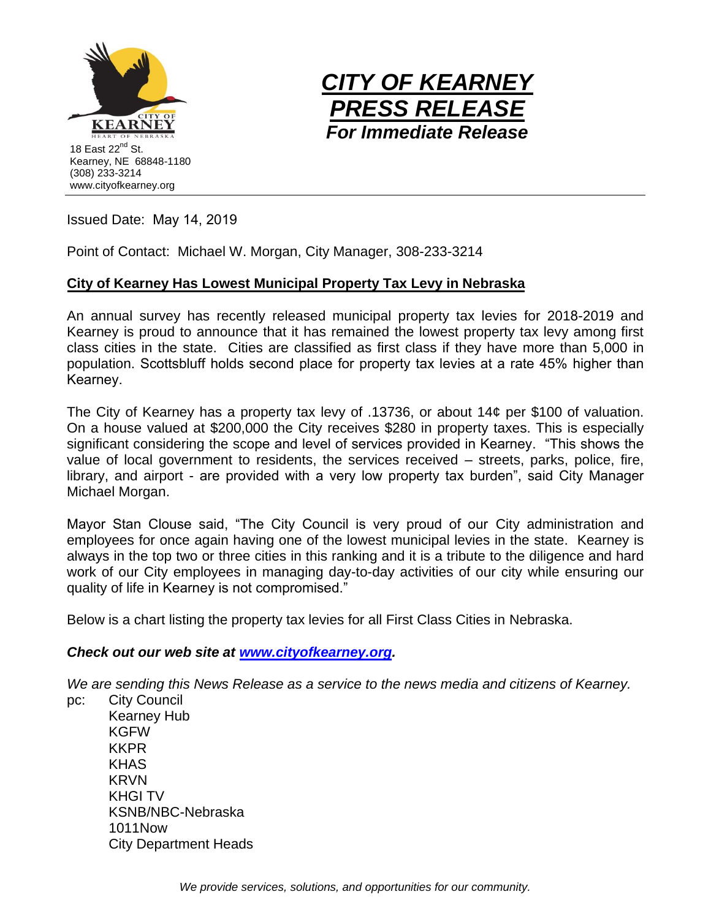



Issued Date: May 14, 2019

Point of Contact: Michael W. Morgan, City Manager, 308-233-3214

## **City of Kearney Has Lowest Municipal Property Tax Levy in Nebraska**

An annual survey has recently released municipal property tax levies for 2018-2019 and Kearney is proud to announce that it has remained the lowest property tax levy among first class cities in the state. Cities are classified as first class if they have more than 5,000 in population. Scottsbluff holds second place for property tax levies at a rate 45% higher than Kearney.

The City of Kearney has a property tax levy of .13736, or about 14¢ per \$100 of valuation. On a house valued at \$200,000 the City receives \$280 in property taxes. This is especially significant considering the scope and level of services provided in Kearney. "This shows the value of local government to residents, the services received – streets, parks, police, fire, library, and airport - are provided with a very low property tax burden", said City Manager Michael Morgan.

Mayor Stan Clouse said, "The City Council is very proud of our City administration and employees for once again having one of the lowest municipal levies in the state. Kearney is always in the top two or three cities in this ranking and it is a tribute to the diligence and hard work of our City employees in managing day-to-day activities of our city while ensuring our quality of life in Kearney is not compromised."

Below is a chart listing the property tax levies for all First Class Cities in Nebraska.

## *Check out our web site at [www.cityofkearney.org.](http://www.cityofkearney.org/)*

*We are sending this News Release as a service to the news media and citizens of Kearney.* 

pc: City Council Kearney Hub KGFW KKPR KHAS KRVN KHGI TV KSNB/NBC-Nebraska 1011Now City Department Heads